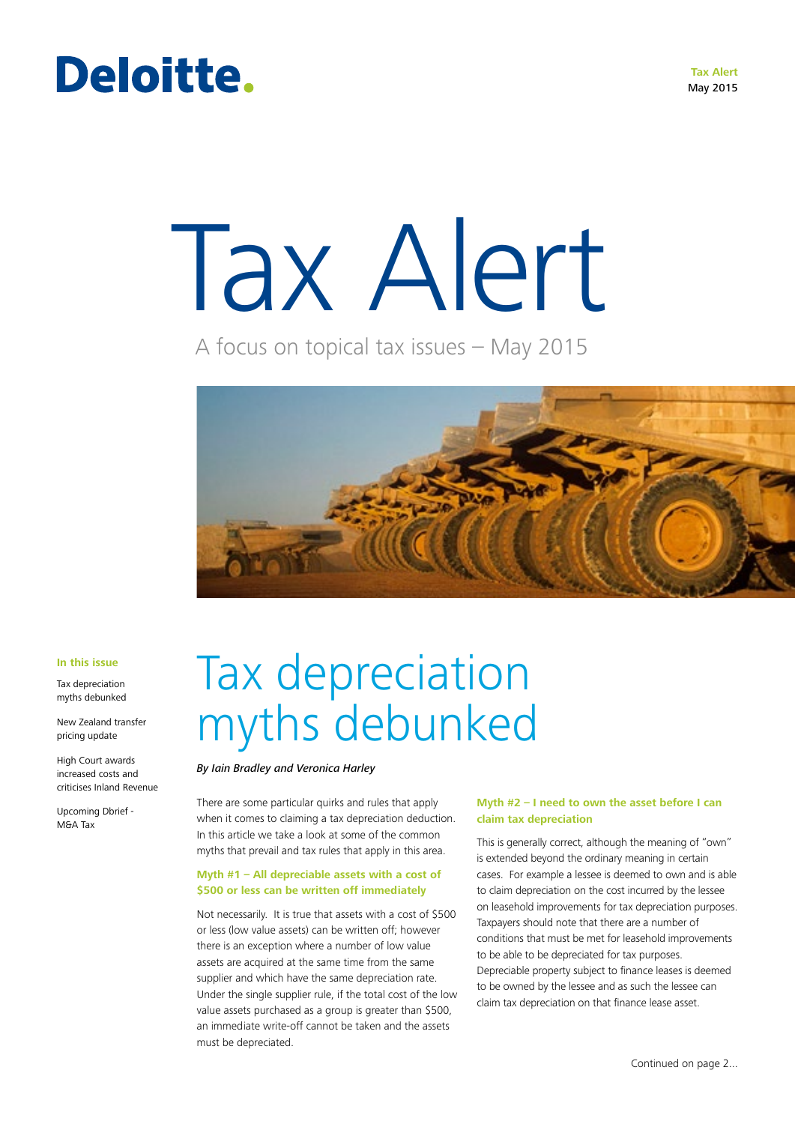#### **Tax Alert** May 2015

# Deloitte.

# Tax Alert

A focus on topical tax issues – May 2015



#### **In this issue**

Tax depreciation myths debunked

New Zealand transfer pricing update

High Court awards increased costs and criticises Inland Revenue

Upcoming Dbrief - M&A Tax

# Tax depreciation myths debunked

#### *By Iain Bradley and Veronica Harley*

There are some particular quirks and rules that apply when it comes to claiming a tax depreciation deduction. In this article we take a look at some of the common myths that prevail and tax rules that apply in this area.

#### **Myth #1 – All depreciable assets with a cost of \$500 or less can be written off immediately**

Not necessarily. It is true that assets with a cost of \$500 or less (low value assets) can be written off; however there is an exception where a number of low value assets are acquired at the same time from the same supplier and which have the same depreciation rate. Under the single supplier rule, if the total cost of the low value assets purchased as a group is greater than \$500, an immediate write-off cannot be taken and the assets must be depreciated.

#### **Myth #2 – I need to own the asset before I can claim tax depreciation**

This is generally correct, although the meaning of "own" is extended beyond the ordinary meaning in certain cases. For example a lessee is deemed to own and is able to claim depreciation on the cost incurred by the lessee on leasehold improvements for tax depreciation purposes. Taxpayers should note that there are a number of conditions that must be met for leasehold improvements to be able to be depreciated for tax purposes. Depreciable property subject to finance leases is deemed to be owned by the lessee and as such the lessee can claim tax depreciation on that finance lease asset.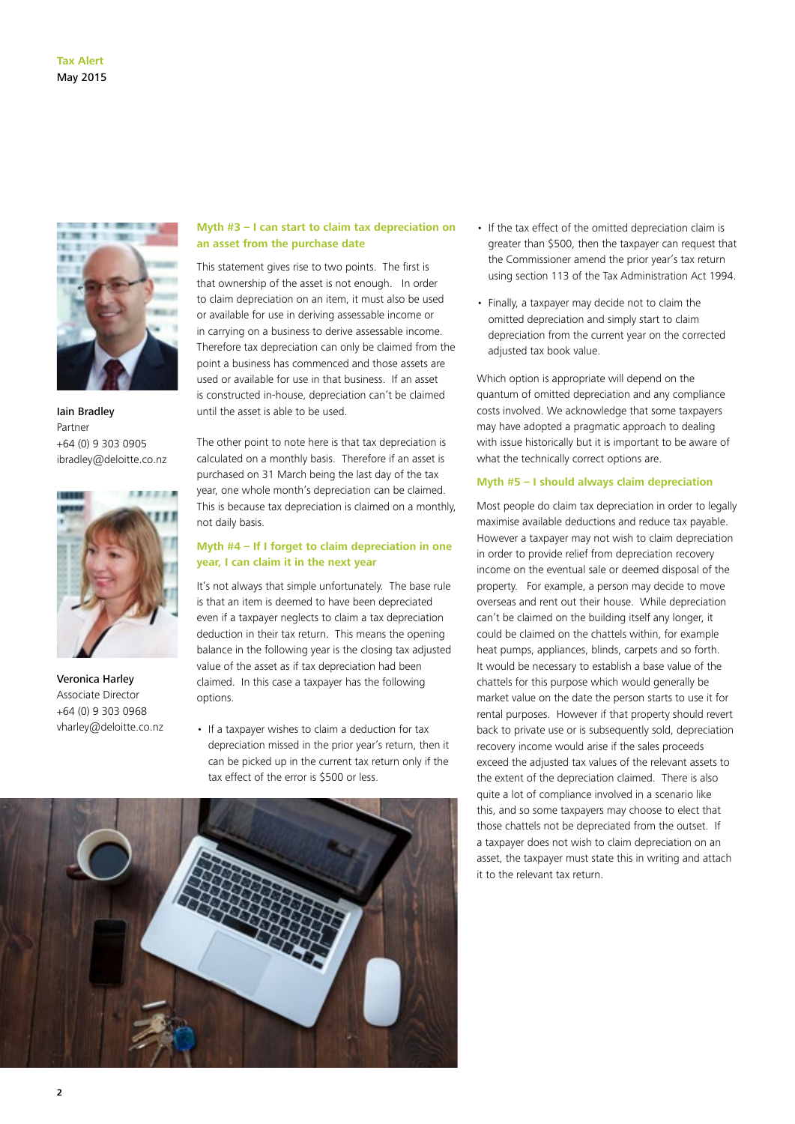

Iain Bradley Partner +64 (0) 9 303 0905 ibradley@deloitte.co.nz



Veronica Harley Associate Director +64 (0) 9 303 0968 vharley@deloitte.co.nz

#### **Myth #3 – I can start to claim tax depreciation on an asset from the purchase date**

This statement gives rise to two points. The first is that ownership of the asset is not enough. In order to claim depreciation on an item, it must also be used or available for use in deriving assessable income or in carrying on a business to derive assessable income. Therefore tax depreciation can only be claimed from the point a business has commenced and those assets are used or available for use in that business. If an asset is constructed in-house, depreciation can't be claimed until the asset is able to be used.

The other point to note here is that tax depreciation is calculated on a monthly basis. Therefore if an asset is purchased on 31 March being the last day of the tax year, one whole month's depreciation can be claimed. This is because tax depreciation is claimed on a monthly, not daily basis.

#### **Myth #4 – If I forget to claim depreciation in one year, I can claim it in the next year**

It's not always that simple unfortunately. The base rule is that an item is deemed to have been depreciated even if a taxpayer neglects to claim a tax depreciation deduction in their tax return. This means the opening balance in the following year is the closing tax adjusted value of the asset as if tax depreciation had been claimed. In this case a taxpayer has the following options.

• If a taxpayer wishes to claim a deduction for tax depreciation missed in the prior year's return, then it can be picked up in the current tax return only if the tax effect of the error is \$500 or less.



- If the tax effect of the omitted depreciation claim is greater than \$500, then the taxpayer can request that the Commissioner amend the prior year's tax return using section 113 of the Tax Administration Act 1994.
- Finally, a taxpayer may decide not to claim the omitted depreciation and simply start to claim depreciation from the current year on the corrected adjusted tax book value.

Which option is appropriate will depend on the quantum of omitted depreciation and any compliance costs involved. We acknowledge that some taxpayers may have adopted a pragmatic approach to dealing with issue historically but it is important to be aware of what the technically correct options are.

#### **Myth #5 – I should always claim depreciation**

Most people do claim tax depreciation in order to legally maximise available deductions and reduce tax payable. However a taxpayer may not wish to claim depreciation in order to provide relief from depreciation recovery income on the eventual sale or deemed disposal of the property. For example, a person may decide to move overseas and rent out their house. While depreciation can't be claimed on the building itself any longer, it could be claimed on the chattels within, for example heat pumps, appliances, blinds, carpets and so forth. It would be necessary to establish a base value of the chattels for this purpose which would generally be market value on the date the person starts to use it for rental purposes. However if that property should revert back to private use or is subsequently sold, depreciation recovery income would arise if the sales proceeds exceed the adjusted tax values of the relevant assets to the extent of the depreciation claimed. There is also quite a lot of compliance involved in a scenario like this, and so some taxpayers may choose to elect that those chattels not be depreciated from the outset. If a taxpayer does not wish to claim depreciation on an asset, the taxpayer must state this in writing and attach it to the relevant tax return.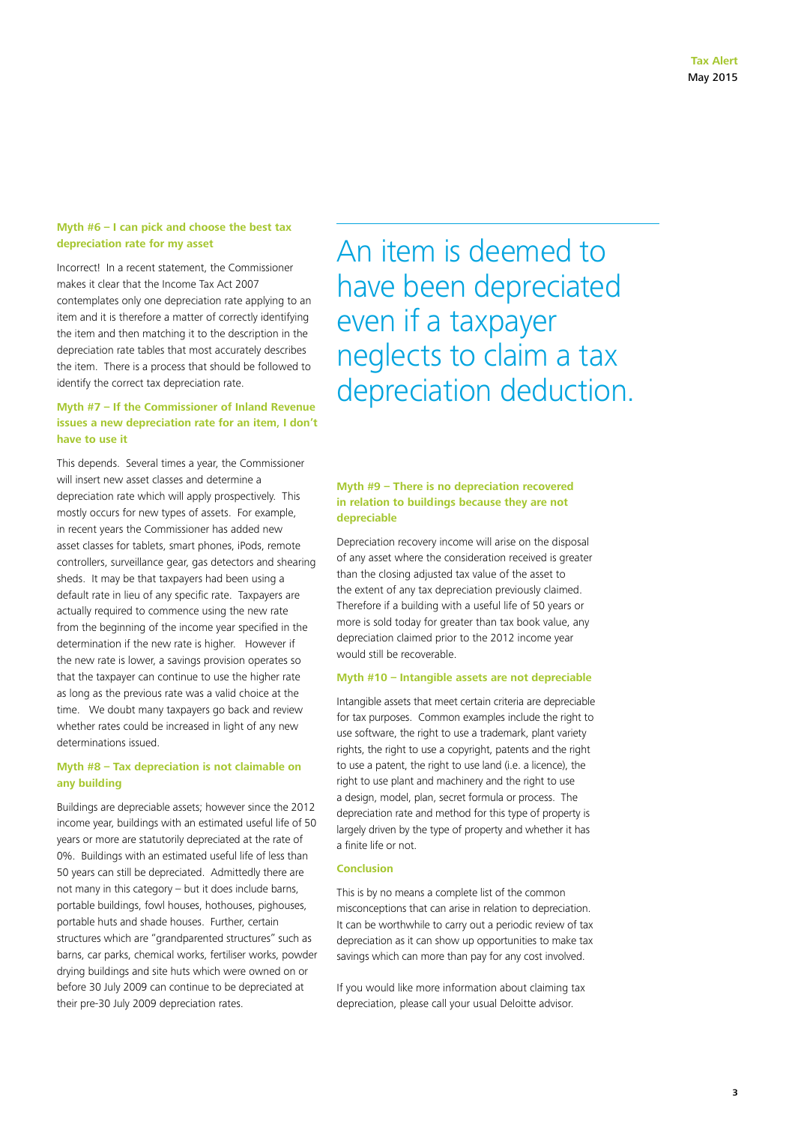#### **Myth #6 – I can pick and choose the best tax depreciation rate for my asset**

Incorrect! In a recent statement, the Commissioner makes it clear that the Income Tax Act 2007 contemplates only one depreciation rate applying to an item and it is therefore a matter of correctly identifying the item and then matching it to the description in the depreciation rate tables that most accurately describes the item. There is a process that should be followed to identify the correct tax depreciation rate.

#### **Myth #7 – If the Commissioner of Inland Revenue issues a new depreciation rate for an item, I don't have to use it**

This depends. Several times a year, the Commissioner will insert new asset classes and determine a depreciation rate which will apply prospectively. This mostly occurs for new types of assets. For example, in recent years the Commissioner has added new asset classes for tablets, smart phones, iPods, remote controllers, surveillance gear, gas detectors and shearing sheds. It may be that taxpayers had been using a default rate in lieu of any specific rate. Taxpayers are actually required to commence using the new rate from the beginning of the income year specified in the determination if the new rate is higher. However if the new rate is lower, a savings provision operates so that the taxpayer can continue to use the higher rate as long as the previous rate was a valid choice at the time. We doubt many taxpayers go back and review whether rates could be increased in light of any new determinations issued.

#### **Myth #8 – Tax depreciation is not claimable on any building**

Buildings are depreciable assets; however since the 2012 income year, buildings with an estimated useful life of 50 years or more are statutorily depreciated at the rate of 0%. Buildings with an estimated useful life of less than 50 years can still be depreciated. Admittedly there are not many in this category – but it does include barns, portable buildings, fowl houses, hothouses, pighouses, portable huts and shade houses. Further, certain structures which are "grandparented structures" such as barns, car parks, chemical works, fertiliser works, powder drying buildings and site huts which were owned on or before 30 July 2009 can continue to be depreciated at their pre-30 July 2009 depreciation rates.

An item is deemed to have been depreciated even if a taxpayer neglects to claim a tax depreciation deduction.

#### **Myth #9 – There is no depreciation recovered in relation to buildings because they are not depreciable**

Depreciation recovery income will arise on the disposal of any asset where the consideration received is greater than the closing adjusted tax value of the asset to the extent of any tax depreciation previously claimed. Therefore if a building with a useful life of 50 years or more is sold today for greater than tax book value, any depreciation claimed prior to the 2012 income year would still be recoverable.

#### **Myth #10 – Intangible assets are not depreciable**

Intangible assets that meet certain criteria are depreciable for tax purposes. Common examples include the right to use software, the right to use a trademark, plant variety rights, the right to use a copyright, patents and the right to use a patent, the right to use land (i.e. a licence), the right to use plant and machinery and the right to use a design, model, plan, secret formula or process. The depreciation rate and method for this type of property is largely driven by the type of property and whether it has a finite life or not.

#### **Conclusion**

This is by no means a complete list of the common misconceptions that can arise in relation to depreciation. It can be worthwhile to carry out a periodic review of tax depreciation as it can show up opportunities to make tax savings which can more than pay for any cost involved.

If you would like more information about claiming tax depreciation, please call your usual Deloitte advisor.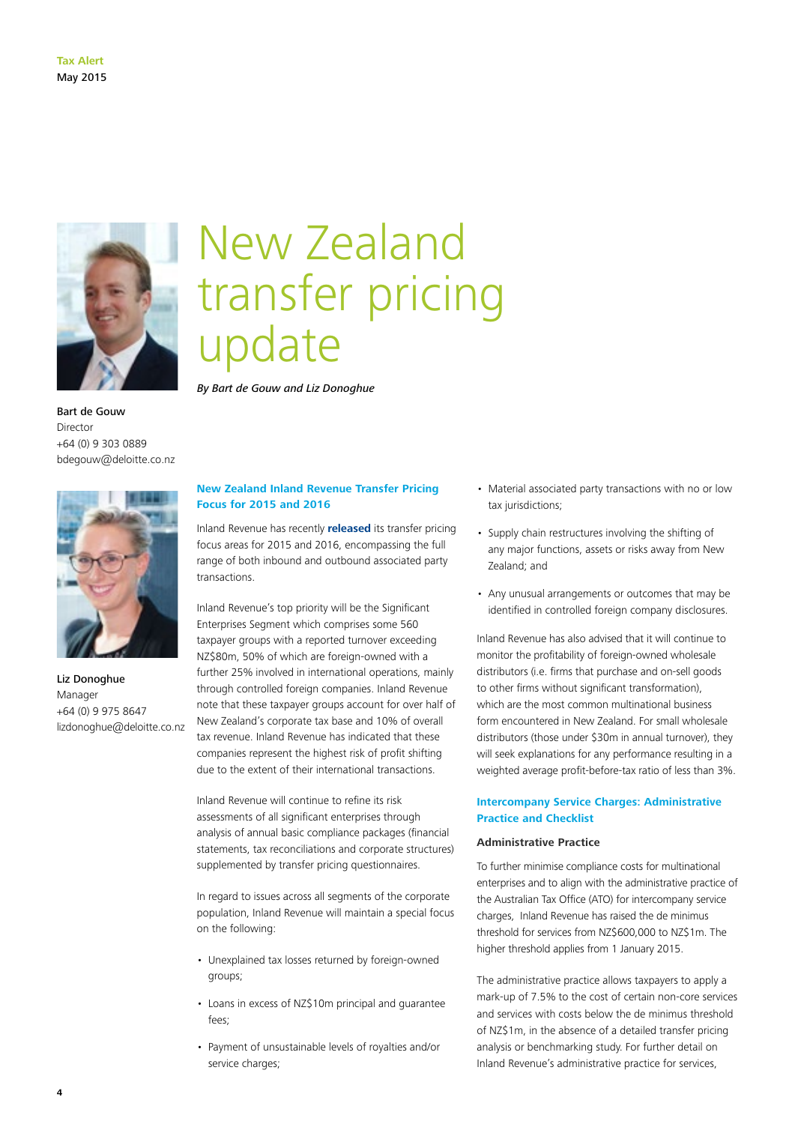

Bart de Gouw Director +64 (0) 9 303 0889 bdegouw@deloitte.co.nz



Liz Donoghue Manager +64 (0) 9 975 8647 lizdonoghue@deloitte.co.nz

## New Zealand transfer pricing update

*By Bart de Gouw and Liz Donoghue*

#### **New Zealand Inland Revenue Transfer Pricing Focus for 2015 and 2016**

Inland Revenue has recently **[released](http://www.ird.govt.nz/transfer-pricing/enforcement/transfer-pricing-enforcement-focus.html)** its transfer pricing focus areas for 2015 and 2016, encompassing the full range of both inbound and outbound associated party transactions.

Inland Revenue's top priority will be the Significant Enterprises Segment which comprises some 560 taxpayer groups with a reported turnover exceeding NZ\$80m, 50% of which are foreign-owned with a further 25% involved in international operations, mainly through controlled foreign companies. Inland Revenue note that these taxpayer groups account for over half of New Zealand's corporate tax base and 10% of overall tax revenue. Inland Revenue has indicated that these companies represent the highest risk of profit shifting due to the extent of their international transactions.

Inland Revenue will continue to refine its risk assessments of all significant enterprises through analysis of annual basic compliance packages (financial statements, tax reconciliations and corporate structures) supplemented by transfer pricing questionnaires.

In regard to issues across all segments of the corporate population, Inland Revenue will maintain a special focus on the following:

- Unexplained tax losses returned by foreign-owned groups;
- Loans in excess of NZ\$10m principal and guarantee fees;
- Payment of unsustainable levels of royalties and/or service charges;
- Material associated party transactions with no or low tax jurisdictions;
- Supply chain restructures involving the shifting of any major functions, assets or risks away from New Zealand; and
- Any unusual arrangements or outcomes that may be identified in controlled foreign company disclosures.

Inland Revenue has also advised that it will continue to monitor the profitability of foreign-owned wholesale distributors (i.e. firms that purchase and on-sell goods to other firms without significant transformation), which are the most common multinational business form encountered in New Zealand. For small wholesale distributors (those under \$30m in annual turnover), they will seek explanations for any performance resulting in a weighted average profit-before-tax ratio of less than 3%.

#### **Intercompany Service Charges: Administrative Practice and Checklist**

#### **Administrative Practice**

To further minimise compliance costs for multinational enterprises and to align with the administrative practice of the Australian Tax Office (ATO) for intercompany service charges, Inland Revenue has raised the de minimus threshold for services from NZ\$600,000 to NZ\$1m. The higher threshold applies from 1 January 2015.

The administrative practice allows taxpayers to apply a mark-up of 7.5% to the cost of certain non-core services and services with costs below the de minimus threshold of NZ\$1m, in the absence of a detailed transfer pricing analysis or benchmarking study. For further detail on Inland Revenue's administrative practice for services,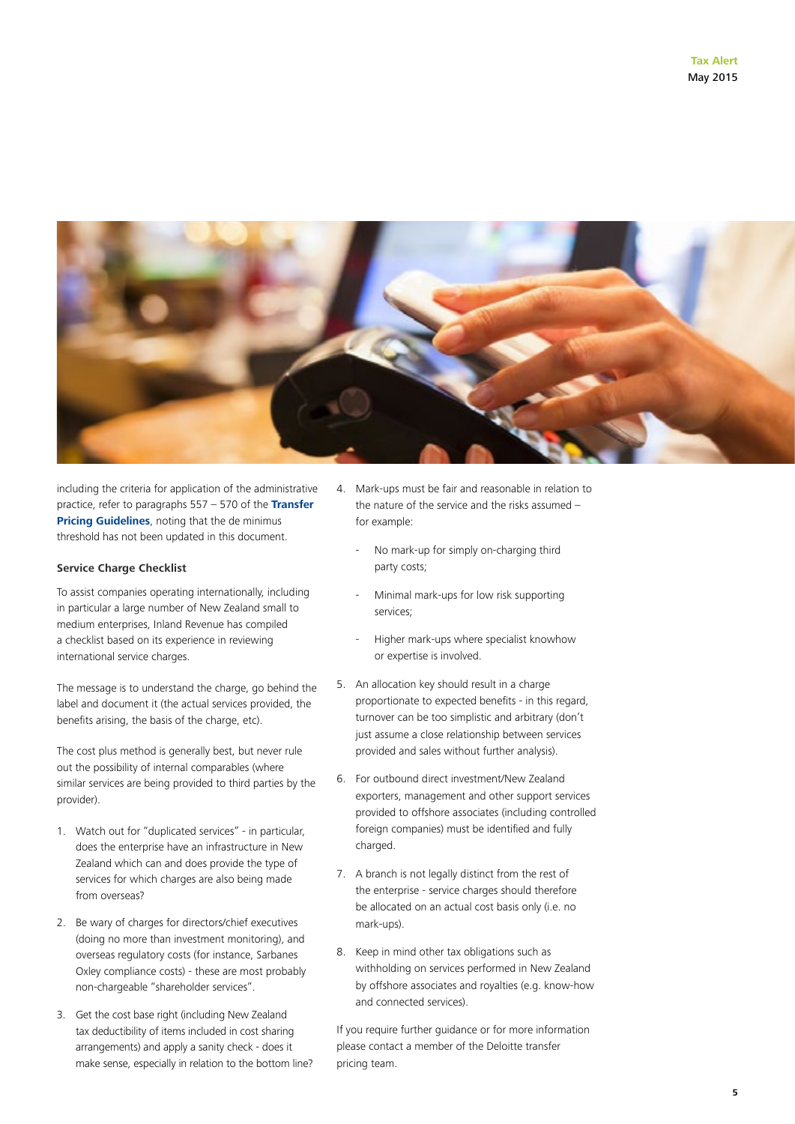

including the criteria for application of the administrative practice, refer to paragraphs 557 – 570 of the **[Transfer](https://www.ird.govt.nz/resources/2/b/2bd702004ba38793811bbd9ef8e4b077/apx12-10.pdf)  [Pricing Guidelines](https://www.ird.govt.nz/resources/2/b/2bd702004ba38793811bbd9ef8e4b077/apx12-10.pdf)**, noting that the de minimus threshold has not been updated in this document.

#### **Service Charge Checklist**

To assist companies operating internationally, including in particular a large number of New Zealand small to medium enterprises, Inland Revenue has compiled a checklist based on its experience in reviewing international service charges.

The message is to understand the charge, go behind the label and document it (the actual services provided, the benefits arising, the basis of the charge, etc).

The cost plus method is generally best, but never rule out the possibility of internal comparables (where similar services are being provided to third parties by the provider).

- 1. Watch out for "duplicated services" in particular, does the enterprise have an infrastructure in New Zealand which can and does provide the type of services for which charges are also being made from overseas?
- 2. Be wary of charges for directors/chief executives (doing no more than investment monitoring), and overseas regulatory costs (for instance, Sarbanes Oxley compliance costs) - these are most probably non-chargeable "shareholder services".
- 3. Get the cost base right (including New Zealand tax deductibility of items included in cost sharing arrangements) and apply a sanity check - does it make sense, especially in relation to the bottom line?
- 4. Mark-ups must be fair and reasonable in relation to the nature of the service and the risks assumed – for example:
	- No mark-up for simply on-charging third party costs;
	- Minimal mark-ups for low risk supporting services;
	- Higher mark-ups where specialist knowhow or expertise is involved.
- 5. An allocation key should result in a charge proportionate to expected benefits - in this regard, turnover can be too simplistic and arbitrary (don't just assume a close relationship between services provided and sales without further analysis).
- 6. For outbound direct investment/New Zealand exporters, management and other support services provided to offshore associates (including controlled foreign companies) must be identified and fully charged.
- 7. A branch is not legally distinct from the rest of the enterprise - service charges should therefore be allocated on an actual cost basis only (i.e. no mark-ups).
- 8. Keep in mind other tax obligations such as withholding on services performed in New Zealand by offshore associates and royalties (e.g. know-how and connected services).

If you require further guidance or for more information please contact a member of the Deloitte transfer pricing team.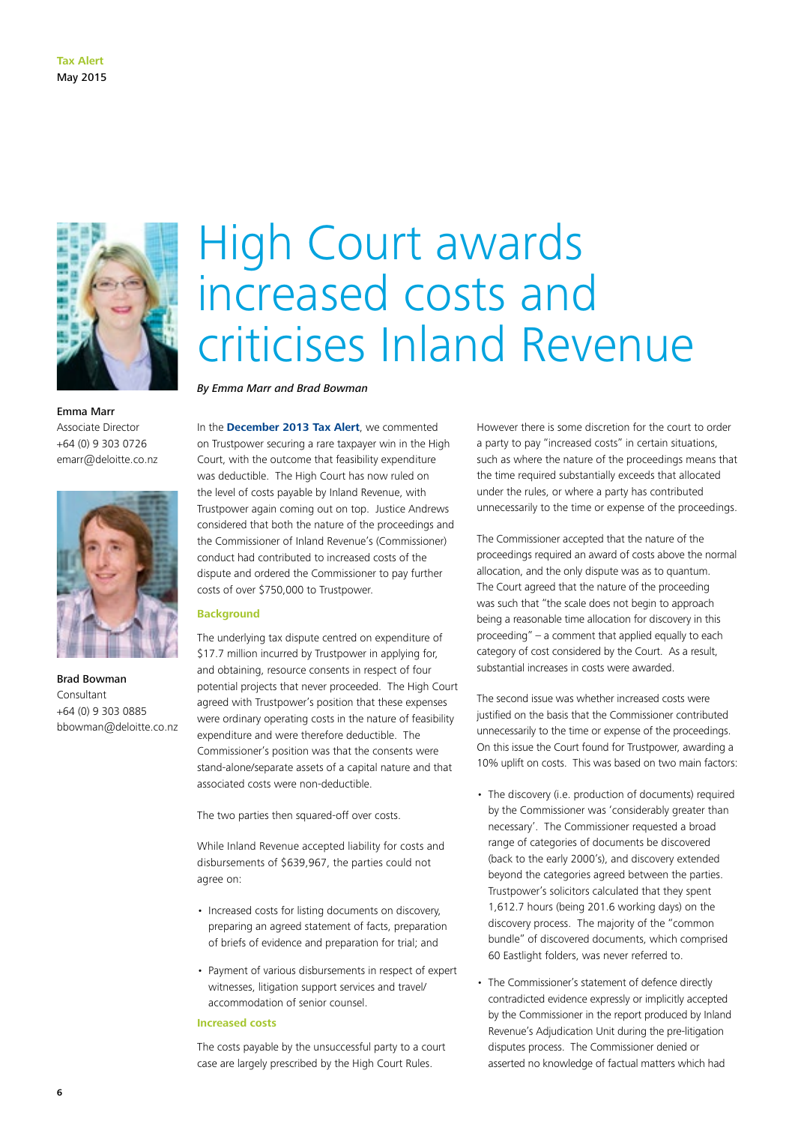

Emma Marr Associate Director +64 (0) 9 303 0726 emarr@deloitte.co.nz



Brad Bowman Consultant +64 (0) 9 303 0885 bbowman@deloitte.co.nz

# High Court awards increased costs and criticises Inland Revenue

*By Emma Marr and Brad Bowman*

In the **[December 2013 Tax Alert](http://www2.deloitte.com/content/dam/Deloitte/nz/Documents/tax/Tax-alert/2013/nz-en-tax-alert-december-2013.pdf)**, we commented on Trustpower securing a rare taxpayer win in the High Court, with the outcome that feasibility expenditure was deductible. The High Court has now ruled on the level of costs payable by Inland Revenue, with Trustpower again coming out on top. Justice Andrews considered that both the nature of the proceedings and the Commissioner of Inland Revenue's (Commissioner) conduct had contributed to increased costs of the dispute and ordered the Commissioner to pay further costs of over \$750,000 to Trustpower.

#### **Background**

The underlying tax dispute centred on expenditure of \$17.7 million incurred by Trustpower in applying for, and obtaining, resource consents in respect of four potential projects that never proceeded. The High Court agreed with Trustpower's position that these expenses were ordinary operating costs in the nature of feasibility expenditure and were therefore deductible. The Commissioner's position was that the consents were stand-alone/separate assets of a capital nature and that associated costs were non-deductible.

The two parties then squared-off over costs.

While Inland Revenue accepted liability for costs and disbursements of \$639,967, the parties could not agree on:

- Increased costs for listing documents on discovery, preparing an agreed statement of facts, preparation of briefs of evidence and preparation for trial; and
- Payment of various disbursements in respect of expert witnesses, litigation support services and travel/ accommodation of senior counsel.

#### **Increased costs**

The costs payable by the unsuccessful party to a court case are largely prescribed by the High Court Rules.

However there is some discretion for the court to order a party to pay "increased costs" in certain situations, such as where the nature of the proceedings means that the time required substantially exceeds that allocated under the rules, or where a party has contributed unnecessarily to the time or expense of the proceedings.

The Commissioner accepted that the nature of the proceedings required an award of costs above the normal allocation, and the only dispute was as to quantum. The Court agreed that the nature of the proceeding was such that "the scale does not begin to approach being a reasonable time allocation for discovery in this proceeding" – a comment that applied equally to each category of cost considered by the Court. As a result, substantial increases in costs were awarded.

The second issue was whether increased costs were justified on the basis that the Commissioner contributed unnecessarily to the time or expense of the proceedings. On this issue the Court found for Trustpower, awarding a 10% uplift on costs. This was based on two main factors:

- The discovery (i.e. production of documents) required by the Commissioner was 'considerably greater than necessary'. The Commissioner requested a broad range of categories of documents be discovered (back to the early 2000's), and discovery extended beyond the categories agreed between the parties. Trustpower's solicitors calculated that they spent 1,612.7 hours (being 201.6 working days) on the discovery process. The majority of the "common bundle" of discovered documents, which comprised 60 Eastlight folders, was never referred to.
- The Commissioner's statement of defence directly contradicted evidence expressly or implicitly accepted by the Commissioner in the report produced by Inland Revenue's Adjudication Unit during the pre-litigation disputes process. The Commissioner denied or asserted no knowledge of factual matters which had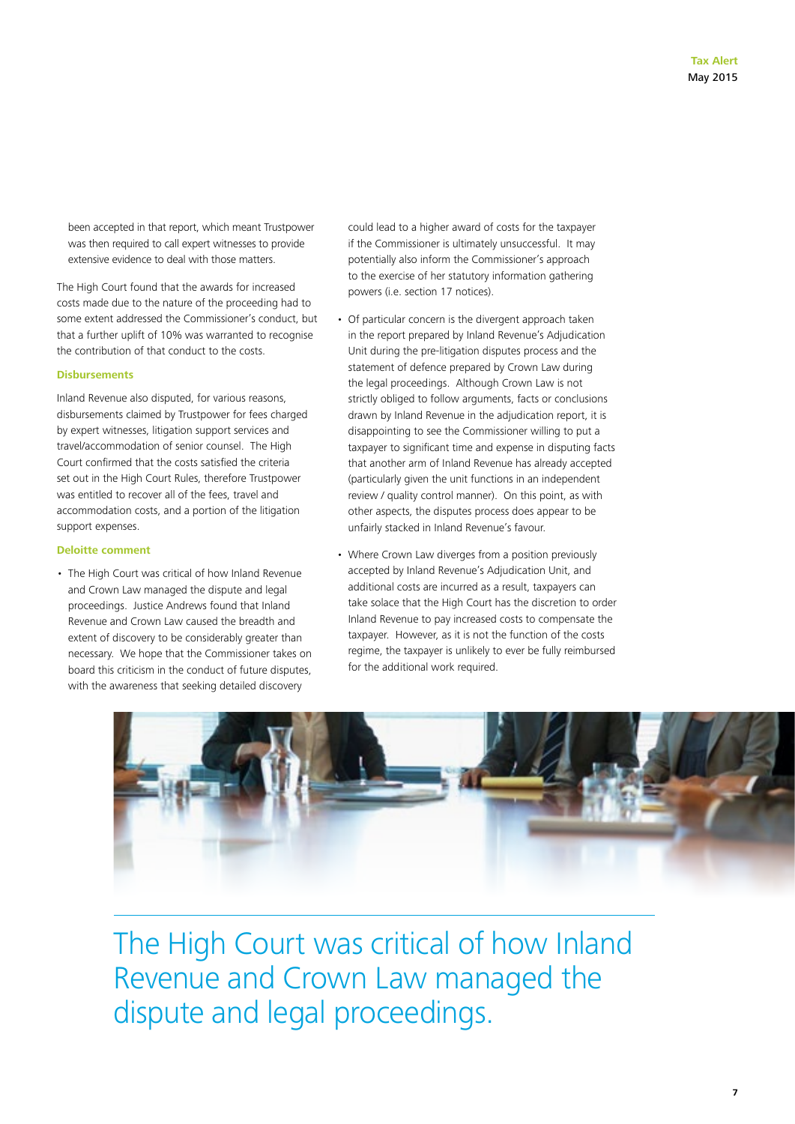been accepted in that report, which meant Trustpower was then required to call expert witnesses to provide extensive evidence to deal with those matters.

The High Court found that the awards for increased costs made due to the nature of the proceeding had to some extent addressed the Commissioner's conduct, but that a further uplift of 10% was warranted to recognise the contribution of that conduct to the costs.

#### **Disbursements**

Inland Revenue also disputed, for various reasons, disbursements claimed by Trustpower for fees charged by expert witnesses, litigation support services and travel/accommodation of senior counsel. The High Court confirmed that the costs satisfied the criteria set out in the High Court Rules, therefore Trustpower was entitled to recover all of the fees, travel and accommodation costs, and a portion of the litigation support expenses.

#### **Deloitte comment**

• The High Court was critical of how Inland Revenue and Crown Law managed the dispute and legal proceedings. Justice Andrews found that Inland Revenue and Crown Law caused the breadth and extent of discovery to be considerably greater than necessary. We hope that the Commissioner takes on board this criticism in the conduct of future disputes, with the awareness that seeking detailed discovery

could lead to a higher award of costs for the taxpayer if the Commissioner is ultimately unsuccessful. It may potentially also inform the Commissioner's approach to the exercise of her statutory information gathering powers (i.e. section 17 notices).

- Of particular concern is the divergent approach taken in the report prepared by Inland Revenue's Adjudication Unit during the pre-litigation disputes process and the statement of defence prepared by Crown Law during the legal proceedings. Although Crown Law is not strictly obliged to follow arguments, facts or conclusions drawn by Inland Revenue in the adjudication report, it is disappointing to see the Commissioner willing to put a taxpayer to significant time and expense in disputing facts that another arm of Inland Revenue has already accepted (particularly given the unit functions in an independent review / quality control manner). On this point, as with other aspects, the disputes process does appear to be unfairly stacked in Inland Revenue's favour.
- Where Crown Law diverges from a position previously accepted by Inland Revenue's Adjudication Unit, and additional costs are incurred as a result, taxpayers can take solace that the High Court has the discretion to order Inland Revenue to pay increased costs to compensate the taxpayer. However, as it is not the function of the costs regime, the taxpayer is unlikely to ever be fully reimbursed for the additional work required.



The High Court was critical of how Inland Revenue and Crown Law managed the dispute and legal proceedings.